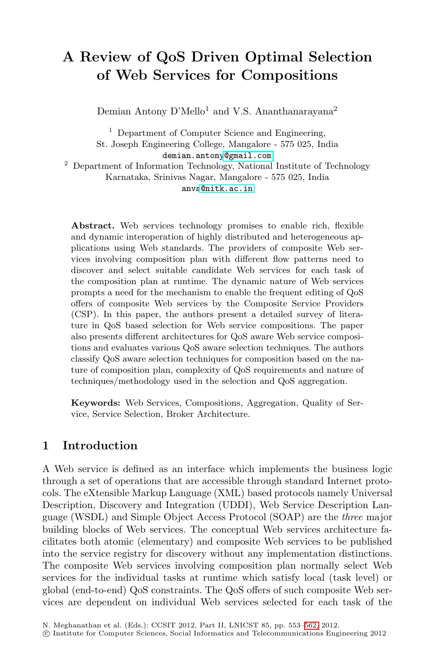## **A Review of QoS Driven Optimal Selection of Web Services for Compositions**

Demian Antony D'Mello<sup>1</sup> and V.S. Ananthanarayana<sup>2</sup>

<sup>1</sup> Department of Computer Science and Engineering, St. Joseph Engineering College, Mangalore - 575 025, India demian.anton[y@gmail.com](@gmail.com)

<sup>2</sup> Department of Information Technology, National Institute of Technology Karnataka, Srinivas Nagar, Mangalore - 575 025, India anv[s@nitk.ac.in](@nitk.ac.in)

Abstract. Web services technology promises to enable rich, flexible and dynamic interoperation of highly distributed and heterogeneous applications using Web standards. The providers of composite Web services involving composition plan with different flow patterns need to discover and select suitable candidate Web services for each task of the composition plan at runtime. The dynamic nature of Web services prompts a need for the mechanism to enable the frequent editing of QoS offers of composite Web services by the Composite Service Providers (CSP). In this paper, the authors present a detailed survey of literature in QoS based selection for Web service compositions. The paper also presents different architectures for QoS aware Web service compositions and evaluates various QoS aware selection techniques. The authors classify QoS aware selection techniques for composition based on the nature of composition plan, complexity of QoS requirements and nature of techniques/methodology used in the selection and QoS aggregation.

**Keywords:** Web Services, Compositions, Aggregation, Quality of Service, Service Selection, Broker Architecture.

## **1 Introduction**

A Web service is defined as an interface which implements the business logic through a set of operations that are accessible through standard Internet protocols. The eXtensible Markup Language (XML) based protocols namely Universal Description, Discovery and Integration (UDDI), Web Service Description Language (WSDL) and Simple Object Access Protocol (SOAP) are the *three* major building blocks of Web services. The conceptual Web services architecture facilitates both atomic (elementary) and composite Web services to be published into the service registry for discovery without any implementation distinctions. The composite Web services involving composition plan normally select Web services for the individual tasks at runtime which satisfy local (task level) or global (end-to-end) QoS constraints. The QoS offers of such composite Web services are dependent on individual Web services selected for each task of the

<sup>-</sup>c Institute for Computer Sciences, Social Informatics and Telecommunications Engineering 2012